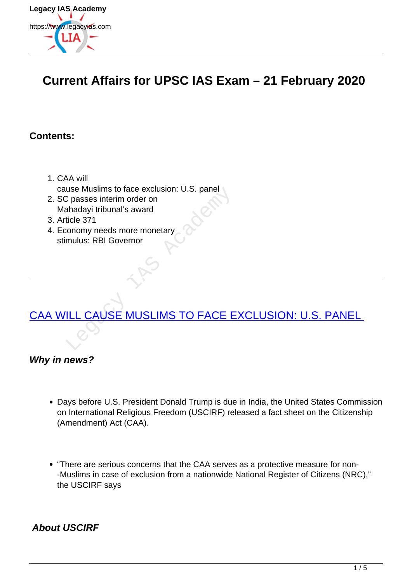

### **Current Affairs for UPSC IAS Exam – 21 February 2020**

#### **Contents:**

- 1. CAA will cause Muslims to face exclusion: U.S. panel
- 2. SC passes interim order on Mahadayi tribunal's award
- 3. Article 371
- 4. Economy needs more monetary stimulus: RBI Governor

# [CAA WILL CAUSE MUSLIMS TO FACE EXCLUSION: U.S. PANEL](https://www.legacyias.com/caa-will-cause-muslims-to-face-exclusion-u-s-panel/)  USE MUSILIMS TO FACE B

#### **Why in news?**

- Days before U.S. President Donald Trump is due in India, the United States Commission on International Religious Freedom (USCIRF) released a fact sheet on the Citizenship (Amendment) Act (CAA).
- "There are serious concerns that the CAA serves as a protective measure for non- -Muslims in case of exclusion from a nationwide National Register of Citizens (NRC)," the USCIRF says

#### **About USCIRF**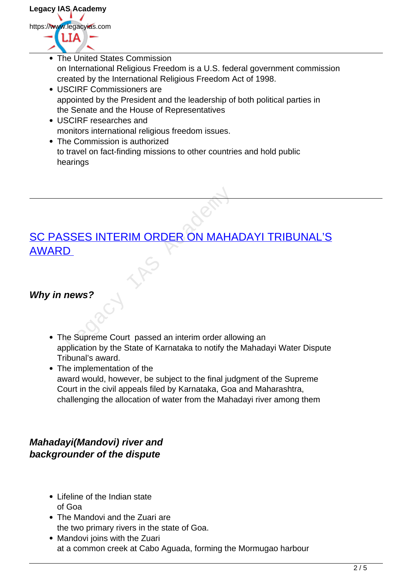

- The United States Commission on International Religious Freedom is a U.S. federal government commission created by the International Religious Freedom Act of 1998.
- USCIRF Commissioners are appointed by the President and the leadership of both political parties in the Senate and the House of Representatives
- USCIRF researches and monitors international religious freedom issues.
- The Commission is authorized to travel on fact-finding missions to other countries and hold public hearings

## SC PASSES INTERIM ORDER ON MAHADAYI TRIBUNAL'S AWARD SSES INTERIM ORDER ON MAHA

#### **Why in news?**

- The Supreme Court passed an interim order allowing an application by the State of Karnataka to notify the Mahadayi Water Dispute Tribunal's award.
- The implementation of the award would, however, be subject to the final judgment of the Supreme Court in the civil appeals filed by Karnataka, Goa and Maharashtra, challenging the allocation of water from the Mahadayi river among them

#### **Mahadayi(Mandovi) river and backgrounder of the dispute**

- Lifeline of the Indian state of Goa
- The Mandovi and the Zuari are the two primary rivers in the state of Goa.
- Mandovi joins with the Zuari at a common creek at Cabo Aguada, forming the Mormugao harbour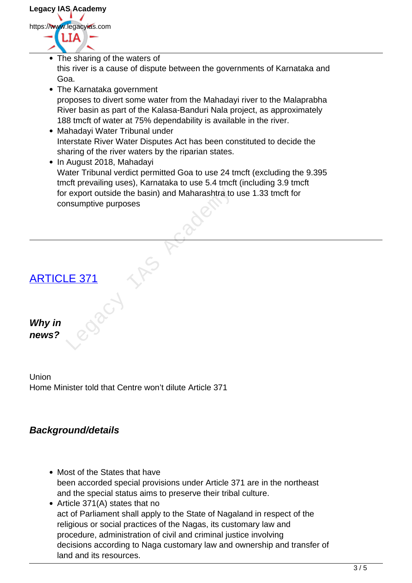

- The sharing of the waters of this river is a cause of dispute between the governments of Karnataka and Goa.
- The Karnataka government proposes to divert some water from the Mahadayi river to the Malaprabha River basin as part of the Kalasa-Banduri Nala project, as approximately 188 tmcft of water at 75% dependability is available in the river.
- Mahadayi Water Tribunal under Interstate River Water Disputes Act has been constituted to decide the sharing of the river waters by the riparian states.
- In August 2018, Mahadayi Water Tribunal verdict permitted Goa to use 24 tmcft (excluding the 9.395 tmcft prevailing uses), Karnataka to use 5.4 tmcft (including 3.9 tmcft for export outside the basin) and Maharashtra to use 1.33 tmcft for consumptive purposes Export outside the basin) and Maharashtra to<br>nsumptive purposes



#### Union

**Why in news?**

Home Minister told that Centre won't dilute Article 371

#### **Background/details**

- Most of the States that have been accorded special provisions under Article 371 are in the northeast and the special status aims to preserve their tribal culture.
- Article 371(A) states that no act of Parliament shall apply to the State of Nagaland in respect of the religious or social practices of the Nagas, its customary law and procedure, administration of civil and criminal justice involving decisions according to Naga customary law and ownership and transfer of land and its resources.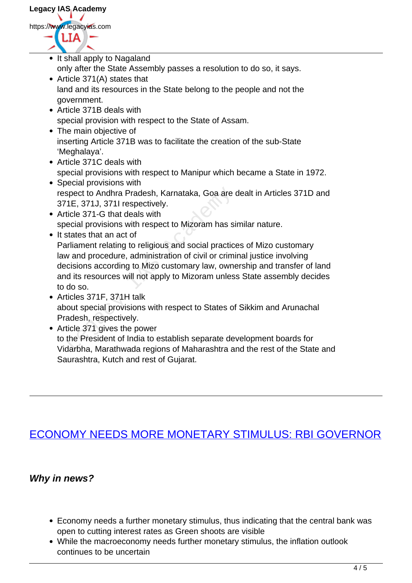- It shall apply to Nagaland only after the State Assembly passes a resolution to do so, it says.
- Article 371(A) states that land and its resources in the State belong to the people and not the government.
- Article 371B deals with special provision with respect to the State of Assam.
- The main objective of inserting Article 371B was to facilitate the creation of the sub-State 'Meghalaya'.
- Article 371C deals with special provisions with respect to Manipur which became a State in 1972.
- Special provisions with respect to Andhra Pradesh, Karnataka, Goa are dealt in Articles 371D and 371E, 371J, 371I respectively.
- Article 371-G that deals with special provisions with respect to Mizoram has similar nature.
- It states that an act of Parliament relating to religious and social practices of Mizo customary law and procedure, administration of civil or criminal justice involving decisions according to Mizo customary law, ownership and transfer of land and its resources will not apply to Mizoram unless State assembly decides to do so. spect to Andhra Pradesh, Karnataka, Goa are<br>
1E, 371J, 371I respectively.<br>
ticle 371-G that deals with<br>
ecial provisions with respect to Mizoram has s<br>
states that an act of<br>
riliament relating to religious and social prac
- Articles 371F, 371H talk about special provisions with respect to States of Sikkim and Arunachal Pradesh, respectively.
- Article 371 gives the power to the President of India to establish separate development boards for Vidarbha, Marathwada regions of Maharashtra and the rest of the State and Saurashtra, Kutch and rest of Gujarat.

#### ECONOMY NEEDS MORE MONETARY STIMULUS: RBI GOVERNOR

#### **Why in news?**

- Economy needs a further monetary stimulus, thus indicating that the central bank was open to cutting interest rates as Green shoots are visible
- While the macroeconomy needs further monetary stimulus, the inflation outlook continues to be uncertain